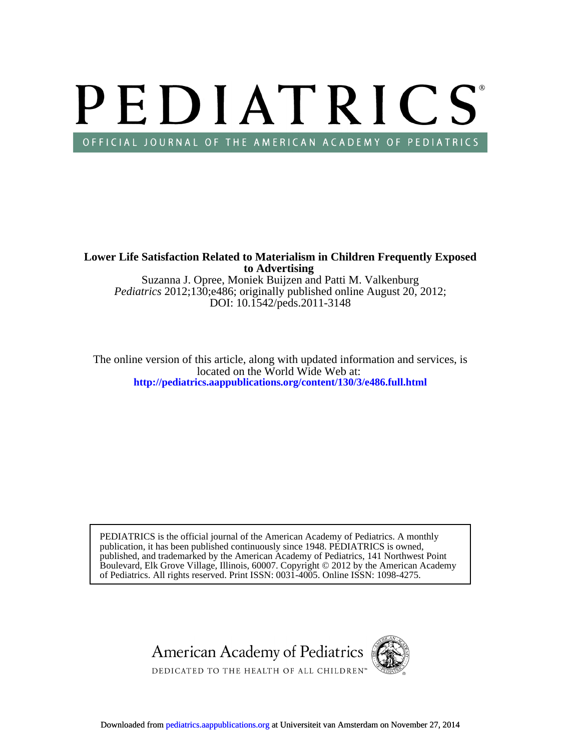# PEDIATRICS OFFICIAL JOURNAL OF THE AMERICAN ACADEMY OF PEDIATRICS

**to Advertising Lower Life Satisfaction Related to Materialism in Children Frequently Exposed**

DOI: 10.1542/peds.2011-3148 *Pediatrics* 2012;130;e486; originally published online August 20, 2012; Suzanna J. Opree, Moniek Buijzen and Patti M. Valkenburg

**<http://pediatrics.aappublications.org/content/130/3/e486.full.html>** located on the World Wide Web at: The online version of this article, along with updated information and services, is

of Pediatrics. All rights reserved. Print ISSN: 0031-4005. Online ISSN: 1098-4275. Boulevard, Elk Grove Village, Illinois, 60007. Copyright © 2012 by the American Academy published, and trademarked by the American Academy of Pediatrics, 141 Northwest Point publication, it has been published continuously since 1948. PEDIATRICS is owned, PEDIATRICS is the official journal of the American Academy of Pediatrics. A monthly

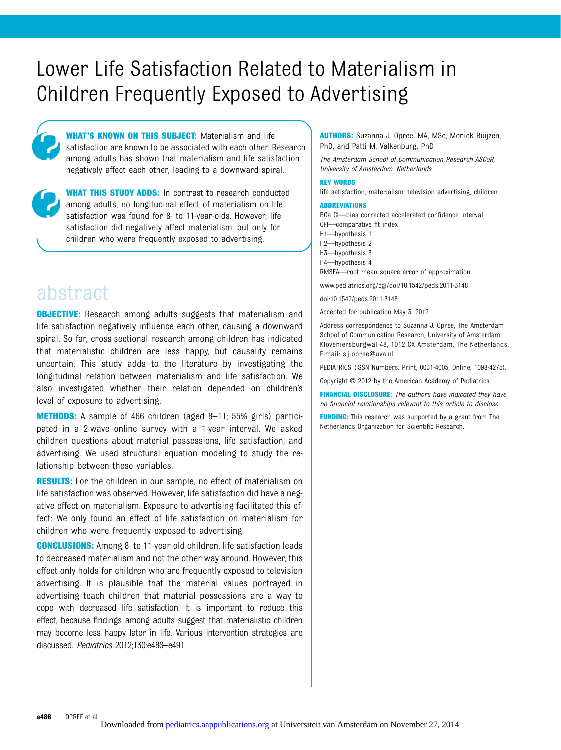# Lower Life Satisfaction Related to Materialism in Children Frequently Exposed to Advertising

**WHAT'S KNOWN ON THIS SUBJECT:** Materialism and life satisfaction are known to be associated with each other. Research among adults has shown that materialism and life satisfaction negatively affect each other, leading to a downward spiral.

WHAT THIS STUDY ADDS: In contrast to research conducted among adults, no longitudinal effect of materialism on life satisfaction was found for 8- to 11-year-olds. However, life satisfaction did negatively affect materialism, but only for children who were frequently exposed to advertising.

# abstract

**OBJECTIVE:** Research among adults suggests that materialism and life satisfaction negatively influence each other, causing a downward spiral. So far, cross-sectional research among children has indicated that materialistic children are less happy, but causality remains uncertain. This study adds to the literature by investigating the longitudinal relation between materialism and life satisfaction. We also investigated whether their relation depended on children's level of exposure to advertising.

METHODS: A sample of 466 children (aged 8–11; 55% girls) participated in a 2-wave online survey with a 1-year interval. We asked children questions about material possessions, life satisfaction, and advertising. We used structural equation modeling to study the relationship between these variables.

**RESULTS:** For the children in our sample, no effect of materialism on life satisfaction was observed. However, life satisfaction did have a negative effect on materialism. Exposure to advertising facilitated this effect: We only found an effect of life satisfaction on materialism for children who were frequently exposed to advertising.

CONCLUSIONS: Among 8- to 11-year-old children, life satisfaction leads to decreased materialism and not the other way around. However, this effect only holds for children who are frequently exposed to television advertising. It is plausible that the material values portrayed in advertising teach children that material possessions are a way to cope with decreased life satisfaction. It is important to reduce this effect, because findings among adults suggest that materialistic children may become less happy later in life. Various intervention strategies are discussed. Pediatrics 2012;130:e486–e491

AUTHORS: Suzanna J. Opree, MA, MSc, Moniek Buijzen, PhD, and Patti M. Valkenburg, PhD

The Amsterdam School of Communication Research ASCoR, University of Amsterdam, Netherlands

#### KEY WORDS

life satisfaction, materialism, television advertising, children

#### ABBREVIATIONS

BCa CI—bias corrected accelerated confidence interval CFI—comparative fit index H1—hypothesis 1 H2—hypothesis 2 H3—hypothesis 3 H4—hypothesis 4 RMSEA—root mean square error of approximation

www.pediatrics.org/cgi/doi/10.1542/peds.2011-3148

doi:10.1542/peds.2011-3148

Accepted for publication May 3, 2012

Address correspondence to Suzanna J. Opree, The Amsterdam School of Communication Research, University of Amsterdam, Kloveniersburgwal 48, 1012 CX Amsterdam, The Netherlands. E-mail: [s.j.opree@uva.nl](mailto:s.j.opree@uva.nl)

PEDIATRICS (ISSN Numbers: Print, 0031-4005; Online, 1098-4275).

Copyright © 2012 by the American Academy of Pediatrics

FINANCIAL DISCLOSURE: The authors have indicated they have no financial relationships relevant to this article to disclose.

FUNDING: This research was supported by a grant from The Netherlands Organization for Scientific Research.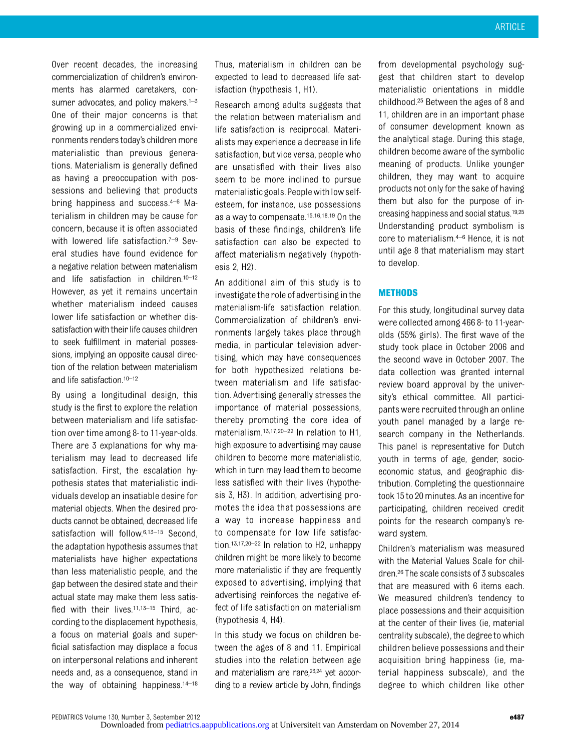Over recent decades, the increasing commercialization of children's environments has alarmed caretakers, consumer advocates, and policy makers. $1-3$ One of their major concerns is that growing up in a commercialized environments renders today's children more materialistic than previous generations. Materialism is generally defined as having a preoccupation with possessions and believing that products bring happiness and success.4–<sup>6</sup> Materialism in children may be cause for concern, because it is often associated with lowered life satisfaction.<sup>7-9</sup> Several studies have found evidence for a negative relation between materialism and life satisfaction in children.10–<sup>12</sup> However, as yet it remains uncertain whether materialism indeed causes lower life satisfaction or whether dissatisfaction with their life causes children to seek fulfillment in material possessions, implying an opposite causal direction of the relation between materialism and life satisfaction.10–<sup>12</sup>

By using a longitudinal design, this study is the first to explore the relation between materialism and life satisfaction over time among 8- to 11-year-olds. There are 3 explanations for why materialism may lead to decreased life satisfaction. First, the escalation hypothesis states that materialistic individuals develop an insatiable desire for material objects. When the desired products cannot be obtained, decreased life satisfaction will follow.<sup>6,13-15</sup> Second, the adaptation hypothesis assumes that materialists have higher expectations than less materialistic people, and the gap between the desired state and their actual state may make them less satisfied with their lives.<sup>11,13-15</sup> Third, according to the displacement hypothesis, a focus on material goals and superficial satisfaction may displace a focus on interpersonal relations and inherent needs and, as a consequence, stand in the way of obtaining happiness. $14-18$  Thus, materialism in children can be expected to lead to decreased life satisfaction (hypothesis 1, H1).

Research among adults suggests that the relation between materialism and life satisfaction is reciprocal. Materialists may experience a decrease in life satisfaction, but vice versa, people who are unsatisfied with their lives also seem to be more inclined to pursue materialisticgoals.Peoplewith low selfesteem, for instance, use possessions as a way to compensate.15,16,18,19 On the basis of these findings, children's life satisfaction can also be expected to affect materialism negatively (hypothesis 2, H2).

An additional aim of this study is to investigate the role of advertising in the materialism-life satisfaction relation. Commercialization of children's environments largely takes place through media, in particular television advertising, which may have consequences for both hypothesized relations between materialism and life satisfaction. Advertising generally stresses the importance of material possessions, thereby promoting the core idea of materialism.<sup>13,17,20-22</sup> In relation to H1, high exposure to advertising may cause children to become more materialistic, which in turn may lead them to become less satisfied with their lives (hypothesis 3, H3). In addition, advertising promotes the idea that possessions are a way to increase happiness and to compensate for low life satisfaction.13,17,20–<sup>22</sup> In relation to H2, unhappy children might be more likely to become more materialistic if they are frequently exposed to advertising, implying that advertising reinforces the negative effect of life satisfaction on materialism (hypothesis 4, H4).

In this study we focus on children between the ages of 8 and 11. Empirical studies into the relation between age and materialism are rare,23,24 yet according to a review article by John, findings

from developmental psychology suggest that children start to develop materialistic orientations in middle childhood.25 Between the ages of 8 and 11, children are in an important phase of consumer development known as the analytical stage. During this stage, children become aware of the symbolic meaning of products. Unlike younger children, they may want to acquire products not only for the sake of having them but also for the purpose of increasing happiness and social status.19,25 Understanding product symbolism is core to materialism.4–<sup>6</sup> Hence, it is not until age 8 that materialism may start to develop.

# **METHODS**

For this study, longitudinal survey data were collected among 466 8- to 11-yearolds (55% girls). The first wave of the study took place in October 2006 and the second wave in October 2007. The data collection was granted internal review board approval by the university's ethical committee. All participants were recruited through an online youth panel managed by a large research company in the Netherlands. This panel is representative for Dutch youth in terms of age, gender, socioeconomic status, and geographic distribution. Completing the questionnaire took 15 to 20 minutes. As an incentive for participating, children received credit points for the research company's reward system.

Children's materialism was measured with the Material Values Scale for children.26 The scale consists of 3 subscales that are measured with 6 items each. We measured children's tendency to place possessions and their acquisition at the center of their lives (ie, material centrality subscale), the degree to which children believe possessions and their acquisition bring happiness (ie, material happiness subscale), and the degree to which children like other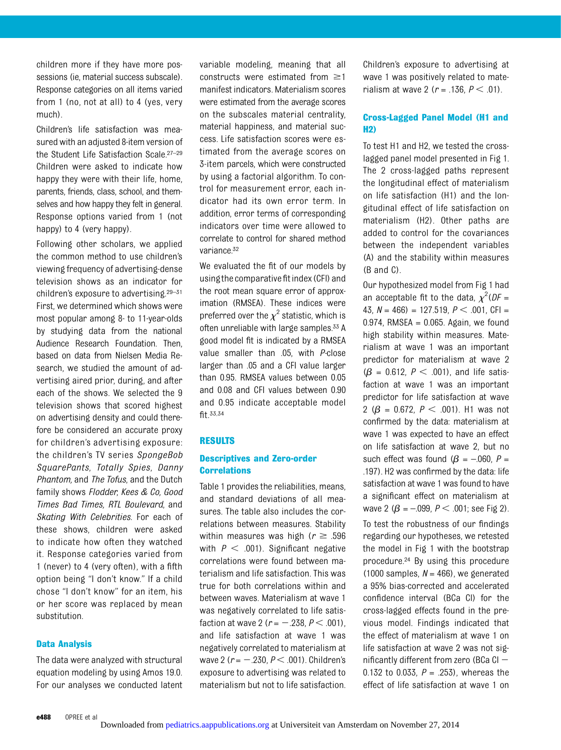children more if they have more possessions (ie, material success subscale). Response categories on all items varied from 1 (no, not at all) to 4 (yes, very much).

Children's life satisfaction was measured with an adjusted 8-item version of the Student Life Satisfaction Scale.27–<sup>29</sup> Children were asked to indicate how happy they were with their life, home, parents, friends, class, school, and themselves and how happy they felt in general. Response options varied from 1 (not happy) to 4 (very happy).

Following other scholars, we applied the common method to use children's viewing frequency of advertising-dense television shows as an indicator for children's exposure to advertising.29–<sup>31</sup> First, we determined which shows were most popular among 8- to 11-year-olds by studying data from the national Audience Research Foundation. Then, based on data from Nielsen Media Research, we studied the amount of advertising aired prior, during, and after each of the shows. We selected the 9 television shows that scored highest on advertising density and could therefore be considered an accurate proxy for children's advertising exposure: the children's TV series SpongeBob SquarePants, Totally Spies, Danny Phantom, and The Tofus, and the Dutch family shows Flodder, Kees & Co, Good Times Bad Times, RTL Boulevard, and Skating With Celebrities. For each of these shows, children were asked to indicate how often they watched it. Response categories varied from 1 (never) to 4 (very often), with a fifth option being "I don't know." If a child chose "I don't know" for an item, his or her score was replaced by mean substitution.

# Data Analysis

The data were analyzed with structural equation modeling by using Amos 19.0. For our analyses we conducted latent variable modeling, meaning that all constructs were estimated from  $\geq$ 1 manifest indicators. Materialism scores were estimated from the average scores on the subscales material centrality, material happiness, and material success. Life satisfaction scores were estimated from the average scores on 3-item parcels, which were constructed by using a factorial algorithm. To control for measurement error, each indicator had its own error term. In addition, error terms of corresponding indicators over time were allowed to correlate to control for shared method variance.32

We evaluated the fit of our models by using the comparative fit index (CFI) and the root mean square error of approximation (RMSEA). These indices were preferred over the  $\chi^2$  statistic, which is often unreliable with large samples.<sup>33</sup> A good model fit is indicated by a RMSEA value smaller than .05, with P-close larger than .05 and a CFI value larger than 0.95. RMSEA values between 0.05 and 0.08 and CFI values between 0.90 and 0.95 indicate acceptable model fit.33,34

#### RESULTS

# Descriptives and Zero-order **Correlations**

Table 1 provides the reliabilities, means, and standard deviations of all measures. The table also includes the correlations between measures. Stability within measures was high ( $r \geq .596$ with  $P < .001$ ). Significant negative correlations were found between materialism and life satisfaction. This was true for both correlations within and between waves. Materialism at wave 1 was negatively correlated to life satisfaction at wave 2 ( $r = -.238, P < .001$ ), and life satisfaction at wave 1 was negatively correlated to materialism at wave 2 ( $r = -.230, P < .001$ ). Children's exposure to advertising was related to materialism but not to life satisfaction. Children's exposure to advertising at wave 1 was positively related to materialism at wave 2 ( $r = .136, P < .01$ ).

# Cross-Lagged Panel Model (H1 and H2)

To test H1 and H2, we tested the crosslagged panel model presented in Fig 1. The 2 cross-lagged paths represent the longitudinal effect of materialism on life satisfaction (H1) and the longitudinal effect of life satisfaction on materialism (H2). Other paths are added to control for the covariances between the independent variables (A) and the stability within measures (B and C).

Our hypothesized model from Fig 1 had an acceptable fit to the data,  $\chi^2 (DF =$ 43,  $N = 466$ ) = 127.519,  $P < .001$ , CFI = 0.974, RMSEA =  $0.065$ . Again, we found high stability within measures. Materialism at wave 1 was an important predictor for materialism at wave 2  $(\beta = 0.612, P < .001)$ , and life satisfaction at wave 1 was an important predictor for life satisfaction at wave 2 ( $\beta$  = 0.672,  $P < .001$ ). H1 was not confirmed by the data: materialism at wave 1 was expected to have an effect on life satisfaction at wave 2, but no such effect was found ( $\beta = -060$ , P = .197). H2 was confirmed by the data: life satisfaction at wave 1 was found to have a significant effect on materialism at wave 2 ( $\beta$  = -.099,  $P < .001$ ; see Fig 2).

To test the robustness of our findings regarding our hypotheses, we retested the model in Fig 1 with the bootstrap procedure.24 By using this procedure (1000 samples,  $N = 466$ ), we generated a 95% bias-corrected and accelerated confidence interval (BCa CI) for the cross-lagged effects found in the previous model. Findings indicated that the effect of materialism at wave 1 on life satisfaction at wave 2 was not significantly different from zero (BCa CI  $-$ 0.132 to 0.033,  $P = .253$ ), whereas the effect of life satisfaction at wave 1 on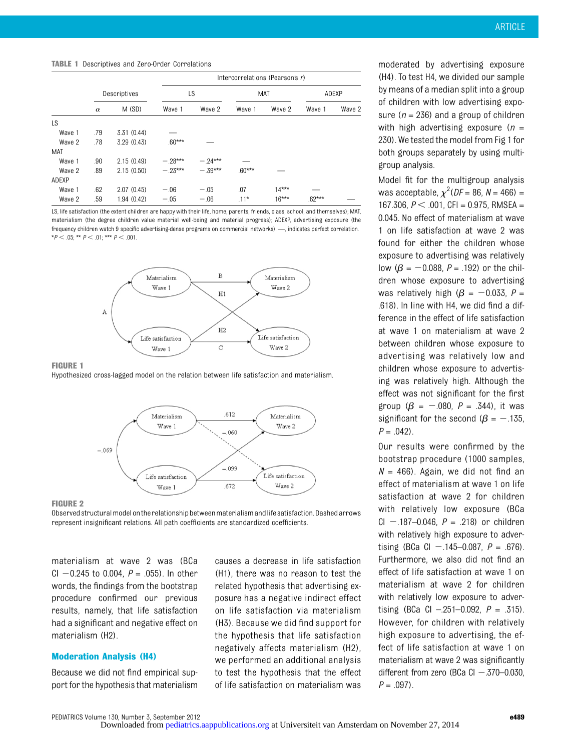TABLE 1 Descriptives and Zero-Order Correlations

|        | Intercorrelations (Pearson's r) |             |          |           |          |          |          |        |
|--------|---------------------------------|-------------|----------|-----------|----------|----------|----------|--------|
|        | Descriptives                    |             | LS       |           | MAT      |          | ADEXP    |        |
|        | $\alpha$                        | M(SD)       | Wave 1   | Wave 2    | Wave 1   | Wave 2   | Wave 1   | Wave 2 |
| LS     |                                 |             |          |           |          |          |          |        |
| Wave 1 | .79                             | 3.31(0.44)  |          |           |          |          |          |        |
| Wave 2 | .78                             | 3.29(0.43)  | $.60***$ |           |          |          |          |        |
| MAT    |                                 |             |          |           |          |          |          |        |
| Wave 1 | .90                             | 2.15(0.49)  | $-28***$ | $-24***$  |          |          |          |        |
| Wave 2 | .89                             | 2.15(0.50)  | $-23***$ | $-.39***$ | $.60***$ |          |          |        |
| ADEXP  |                                 |             |          |           |          |          |          |        |
| Wave 1 | .62                             | 2.07(0.45)  | $-.06$   | $-.05$    | .07      | $.14***$ |          |        |
| Wave 2 | .59                             | 1.94 (0.42) | $-.05$   | $-.06$    | $.11*$   | $.16***$ | $.62***$ |        |

LS, life satisfaction (the extent children are happy with their life, home, parents, friends, class, school, and themselves); MAT, materialism (the degree children value material well-being and material progress); ADEXP, advertising exposure (the frequency children watch 9 specific advertising-dense programs on commercial networks). —, indicates perfect correlation. \* $P < .05$ ; \*\*  $P < .01$ ; \*\*\*  $P < .001$ .



FIGURE 1 Hypothesized cross-lagged model on the relation between life satisfaction and materialism.



#### FIGURE 2

Observed structuralmodelonthe relationshipbetweenmaterialism andlife satisfaction. Dashed arrows represent insignificant relations. All path coefficients are standardized coefficients.

materialism at wave 2 was (BCa CI  $-0.245$  to 0.004,  $P = .055$ ). In other words, the findings from the bootstrap procedure confirmed our previous results, namely, that life satisfaction had a significant and negative effect on materialism (H2).

# Moderation Analysis (H4)

Because we did not find empirical support for the hypothesis that materialism

causes a decrease in life satisfaction (H1), there was no reason to test the related hypothesis that advertising exposure has a negative indirect effect on life satisfaction via materialism (H3). Because we did find support for the hypothesis that life satisfaction negatively affects materialism (H2), we performed an additional analysis to test the hypothesis that the effect of life satisfaction on materialism was

moderated by advertising exposure (H4). To test H4, we divided our sample by means of a median split into a group of children with low advertising exposure ( $n = 236$ ) and a group of children with high advertising exposure ( $n =$ 230). We tested the model from Fig 1 for both groups separately by using multigroup analysis.

Model fit for the multigroup analysis was acceptable,  $\chi^2$ (DF = 86, N = 466) = 167.306,  $P < .001$ , CFI = 0.975, RMSEA = 0.045. No effect of materialism at wave 1 on life satisfaction at wave 2 was found for either the children whose exposure to advertising was relatively low ( $\beta = -0.088$ ,  $P = .192$ ) or the children whose exposure to advertising was relatively high ( $\beta$  = -0.033, P = .618). In line with H4, we did find a difference in the effect of life satisfaction at wave 1 on materialism at wave 2 between children whose exposure to advertising was relatively low and children whose exposure to advertising was relatively high. Although the effect was not significant for the first group ( $\beta = -080$ ,  $P = .344$ ), it was significant for the second ( $\beta = -135$ ,  $P = .042$ .

Our results were confirmed by the bootstrap procedure (1000 samples,  $N = 466$ ). Again, we did not find an effect of materialism at wave 1 on life satisfaction at wave 2 for children with relatively low exposure (BCa CI - .187–0.046,  $P = .218$ ) or children with relatively high exposure to advertising (BCa CI  $-$  145–0.087, P = .676). Furthermore, we also did not find an effect of life satisfaction at wave 1 on materialism at wave 2 for children with relatively low exposure to advertising (BCa CI - 251-0.092,  $P = .315$ ). However, for children with relatively high exposure to advertising, the effect of life satisfaction at wave 1 on materialism at wave 2 was significantly different from zero (BCa CI  $-$  370–0.030,  $P = .097$ ).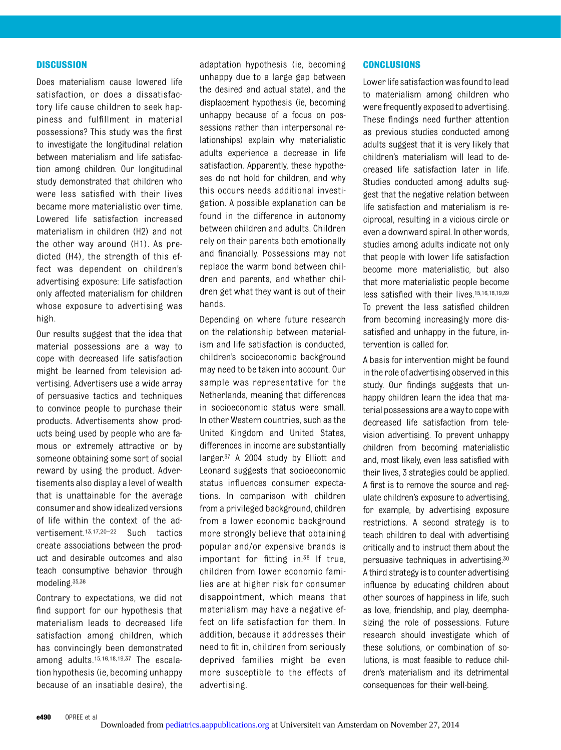## **DISCUSSION**

Does materialism cause lowered life satisfaction, or does a dissatisfactory life cause children to seek happiness and fulfillment in material possessions? This study was the first to investigate the longitudinal relation between materialism and life satisfaction among children. Our longitudinal study demonstrated that children who were less satisfied with their lives became more materialistic over time. Lowered life satisfaction increased materialism in children (H2) and not the other way around (H1). As predicted (H4), the strength of this effect was dependent on children's advertising exposure: Life satisfaction only affected materialism for children whose exposure to advertising was high.

Our results suggest that the idea that material possessions are a way to cope with decreased life satisfaction might be learned from television advertising. Advertisers use a wide array of persuasive tactics and techniques to convince people to purchase their products. Advertisements show products being used by people who are famous or extremely attractive or by someone obtaining some sort of social reward by using the product. Advertisements also display a level of wealth that is unattainable for the average consumer and show idealized versions of life within the context of the advertisement.13,17,20–<sup>22</sup> Such tactics create associations between the product and desirable outcomes and also teach consumptive behavior through modeling.35,36

Contrary to expectations, we did not find support for our hypothesis that materialism leads to decreased life satisfaction among children, which has convincingly been demonstrated among adults.15,16,18,19,37 The escalation hypothesis (ie, becoming unhappy because of an insatiable desire), the

adaptation hypothesis (ie, becoming unhappy due to a large gap between the desired and actual state), and the displacement hypothesis (ie, becoming unhappy because of a focus on possessions rather than interpersonal relationships) explain why materialistic adults experience a decrease in life satisfaction. Apparently, these hypotheses do not hold for children, and why this occurs needs additional investigation. A possible explanation can be found in the difference in autonomy between children and adults. Children rely on their parents both emotionally and financially. Possessions may not replace the warm bond between children and parents, and whether children get what they want is out of their hands.

Depending on where future research on the relationship between materialism and life satisfaction is conducted, children's socioeconomic background may need to be taken into account. Our sample was representative for the Netherlands, meaning that differences in socioeconomic status were small. In other Western countries, such as the United Kingdom and United States, differences in income are substantially larger.<sup>37</sup> A 2004 study by Elliott and Leonard suggests that socioeconomic status influences consumer expectations. In comparison with children from a privileged background, children from a lower economic background more strongly believe that obtaining popular and/or expensive brands is important for fitting in.38 If true, children from lower economic families are at higher risk for consumer disappointment, which means that materialism may have a negative effect on life satisfaction for them. In addition, because it addresses their need to fit in, children from seriously deprived families might be even more susceptible to the effects of advertising.

## **CONCLUSIONS**

Lower life satisfaction was found to lead to materialism among children who were frequently exposed to advertising. These findings need further attention as previous studies conducted among adults suggest that it is very likely that children's materialism will lead to decreased life satisfaction later in life. Studies conducted among adults suggest that the negative relation between life satisfaction and materialism is reciprocal, resulting in a vicious circle or even a downward spiral. In other words, studies among adults indicate not only that people with lower life satisfaction become more materialistic, but also that more materialistic people become less satisfied with their lives.15,16,18,19,39 To prevent the less satisfied children from becoming increasingly more dissatisfied and unhappy in the future, intervention is called for.

A basis for intervention might be found in the role of advertising observed inthis study. Our findings suggests that unhappy children learn the idea that material possessions are a wayto cope with decreased life satisfaction from television advertising. To prevent unhappy children from becoming materialistic and, most likely, even less satisfied with their lives, 3 strategies could be applied. A first is to remove the source and regulate children's exposure to advertising, for example, by advertising exposure restrictions. A second strategy is to teach children to deal with advertising critically and to instruct them about the persuasive techniques in advertising.30 A third strategy is to counter advertising influence by educating children about other sources of happiness in life, such as love, friendship, and play, deemphasizing the role of possessions. Future research should investigate which of these solutions, or combination of solutions, is most feasible to reduce children's materialism and its detrimental consequences for their well-being.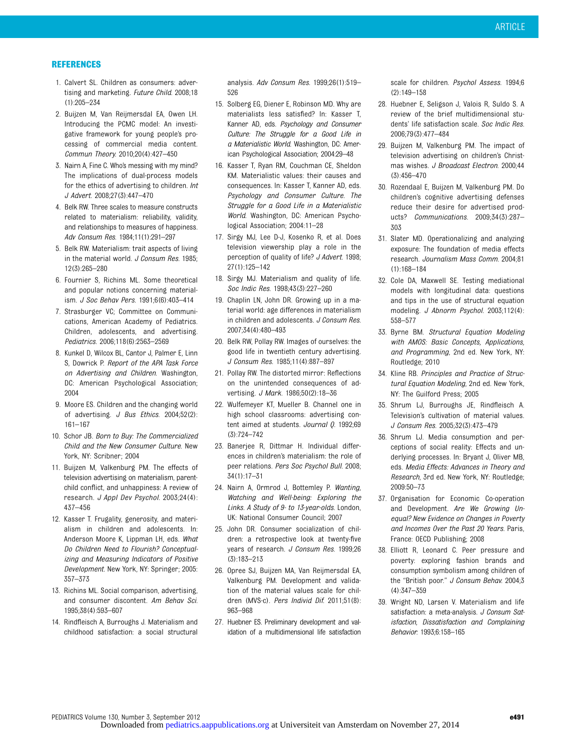### **REFERENCES**

- 1. Calvert SL. Children as consumers: advertising and marketing. Future Child. 2008;18 (1):205–234
- 2. Buijzen M, Van Reijmersdal EA, Owen LH. Introducing the PCMC model: An investigative framework for young people's processing of commercial media content. Commun Theory. 2010;20(4):427–450
- 3. Nairn A, Fine C. Who's messing with my mind? The implications of dual-process models for the ethics of advertising to children. Int J Advert. 2008;27(3):447–470
- 4. Belk RW. Three scales to measure constructs related to materialism: reliability, validity, and relationships to measures of happiness. Adv Consum Res. 1984;11(1):291–297
- 5. Belk RW. Materialism: trait aspects of living in the material world. J Consum Res. 1985; 12(3):265–280
- 6. Fournier S, Richins ML. Some theoretical and popular notions concerning materialism. J Soc Behav Pers. 1991;6(6):403–414
- 7. Strasburger VC; Committee on Communications, American Academy of Pediatrics. Children, adolescents, and advertising. Pediatrics. 2006;118(6):2563–2569
- 8. Kunkel D, Wilcox BL, Cantor J, Palmer E, Linn S, Dowrick P. Report of the APA Task Force on Advertising and Children. Washington, DC: American Psychological Association; 2004
- 9. Moore ES. Children and the changing world of advertising. J Bus Ethics. 2004;52(2): 161–167
- 10. Schor JB. Born to Buy: The Commercialized Child and the New Consumer Culture. New York, NY: Scribner; 2004
- 11. Buijzen M, Valkenburg PM. The effects of television advertising on materialism, parentchild conflict, and unhappiness: A review of research. J Appl Dev Psychol. 2003;24(4): 437–456
- 12. Kasser T. Frugality, generosity, and materialism in children and adolescents. In: Anderson Moore K, Lippman LH, eds. What Do Children Need to Flourish? Conceptualizing and Measuring Indicators of Positive Development. New York, NY: Springer; 2005: 357–373
- 13. Richins ML. Social comparison, advertising, and consumer discontent. Am Behav Sci. 1995;38(4):593–607
- 14. Rindfleisch A, Burroughs J. Materialism and childhood satisfaction: a social structural

analysis. Adv Consum Res. 1999;26(1):519– 526

- 15. Solberg EG, Diener E, Robinson MD. Why are materialists less satisfied? In: Kasser T, Kanner AD, eds. Psychology and Consumer Culture: The Struggle for a Good Life in a Materialistic World. Washington, DC: American Psychological Association; 2004:29–48
- 16. Kasser T, Ryan RM, Couchman CE, Sheldon KM. Materialistic values: their causes and consequences. In: Kasser T, Kanner AD, eds. Psychology and Consumer Culture. The Struggle for a Good Life in a Materialistic World. Washington, DC: American Psychological Association; 2004:11–28
- 17. Sirgy MJ, Lee D-J, Kosenko R, et al. Does television viewership play a role in the perception of quality of life? J Advert. 1998; 27(1):125–142
- 18. Sirgy MJ. Materialism and quality of life. Soc Indic Res. 1998;43(3):227–260
- 19. Chaplin LN, John DR. Growing up in a material world: age differences in materialism in children and adolescents. J Consum Res. 2007;34(4):480–493
- 20. Belk RW, Pollay RW. Images of ourselves: the good life in twentieth century advertising. J Consum Res. 1985;11(4):887–897
- 21. Pollay RW. The distorted mirror: Reflections on the unintended consequences of advertising. *J Mark.* 1986;50(2):18-36
- 22. Wulfemeyer KT, Mueller B. Channel one in high school classrooms: advertising content aimed at students. Journal Q. 1992;69 (3):724–742
- 23. Banerjee R, Dittmar H. Individual differences in children's materialism: the role of peer relations. Pers Soc Psychol Bull. 2008; 34(1):17–31
- 24. Nairn A, Ormrod J, Bottemley P. Wanting, Watching and Well-being: Exploring the Links. A Study of 9- to 13-year-olds. London, UK: National Consumer Council; 2007
- 25. John DR. Consumer socialization of children: a retrospective look at twenty-five years of research. J Consum Res. 1999;26 (3):183–213
- 26. Opree SJ, Buijzen MA, Van Reijmersdal EA, Valkenburg PM. Development and validation of the material values scale for children (MVS-c). Pers Individ Dif. 2011;51(8): 963–968
- 27. Huebner ES. Preliminary development and validation of a multidimensional life satisfaction

scale for children. Psychol Assess. 1994;6 (2):149–158

- 28. Huebner E, Seligson J, Valois R, Suldo S. A review of the brief multidimensional students' life satisfaction scale. Soc Indic Res. 2006;79(3):477–484
- 29. Buijzen M, Valkenburg PM. The impact of television advertising on children's Christmas wishes. *J Broadcast Electron*. 2000:44 (3):456–470
- 30. Rozendaal E, Buijzen M, Valkenburg PM. Do children's cognitive advertising defenses reduce their desire for advertised products? Communications. 2009;34(3):287-303
- 31. Slater MD. Operationalizing and analyzing exposure: The foundation of media effects research. Journalism Mass Comm. 2004;81 (1):168–184
- 32. Cole DA, Maxwell SE. Testing mediational models with longitudinal data: questions and tips in the use of structural equation modeling. J Abnorm Psychol. 2003;112(4): 558–577
- 33. Byrne BM. Structural Equation Modeling with AMOS: Basic Concepts, Applications, and Programming, 2nd ed. New York, NY: Routledge; 2010
- 34. Kline RB. Principles and Practice of Structural Equation Modeling, 2nd ed. New York, NY: The Guilford Press; 2005
- 35. Shrum LJ, Burroughs JE, Rindfleisch A. Television's cultivation of material values. J Consum Res. 2005;32(3):473–479
- 36. Shrum LJ. Media consumption and perceptions of social reality: Effects and underlying processes. In: Bryant J, Oliver MB, eds. Media Effects: Advances in Theory and Research, 3rd ed. New York, NY: Routledge; 2009:50–73
- 37. Organisation for Economic Co-operation and Development. Are We Growing Unequal? New Evidence on Changes in Poverty and Incomes Over the Past 20 Years. Paris, France: OECD Publishing; 2008
- 38. Elliott R, Leonard C. Peer pressure and poverty: exploring fashion brands and consumption symbolism among children of the "British poor." J Consum Behav. 2004;3 (4):347–359
- 39. Wright ND, Larsen V. Materialism and life satisfaction: a meta-analysis. J Consum Satisfaction, Dissatisfaction and Complaining Behavior. 1993;6:158–165